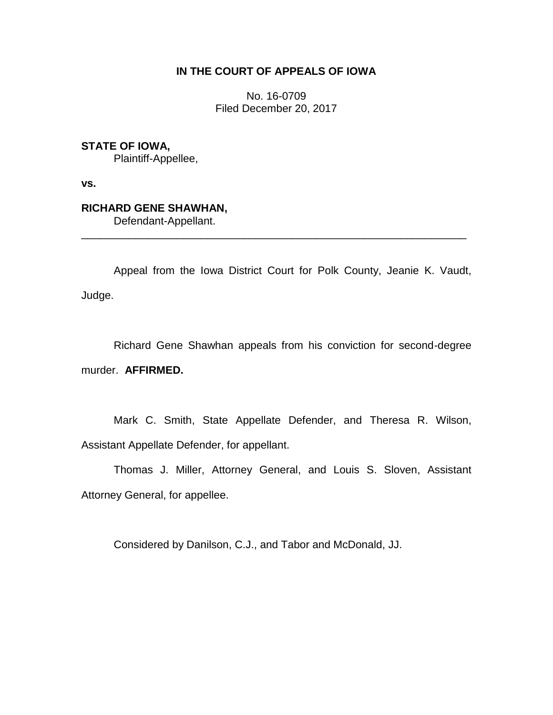# **IN THE COURT OF APPEALS OF IOWA**

No. 16-0709 Filed December 20, 2017

**STATE OF IOWA,**

Plaintiff-Appellee,

**vs.**

# **RICHARD GENE SHAWHAN,**

Defendant-Appellant.

Appeal from the Iowa District Court for Polk County, Jeanie K. Vaudt, Judge.

\_\_\_\_\_\_\_\_\_\_\_\_\_\_\_\_\_\_\_\_\_\_\_\_\_\_\_\_\_\_\_\_\_\_\_\_\_\_\_\_\_\_\_\_\_\_\_\_\_\_\_\_\_\_\_\_\_\_\_\_\_\_\_\_

Richard Gene Shawhan appeals from his conviction for second-degree murder. **AFFIRMED.**

Mark C. Smith, State Appellate Defender, and Theresa R. Wilson, Assistant Appellate Defender, for appellant.

Thomas J. Miller, Attorney General, and Louis S. Sloven, Assistant Attorney General, for appellee.

Considered by Danilson, C.J., and Tabor and McDonald, JJ.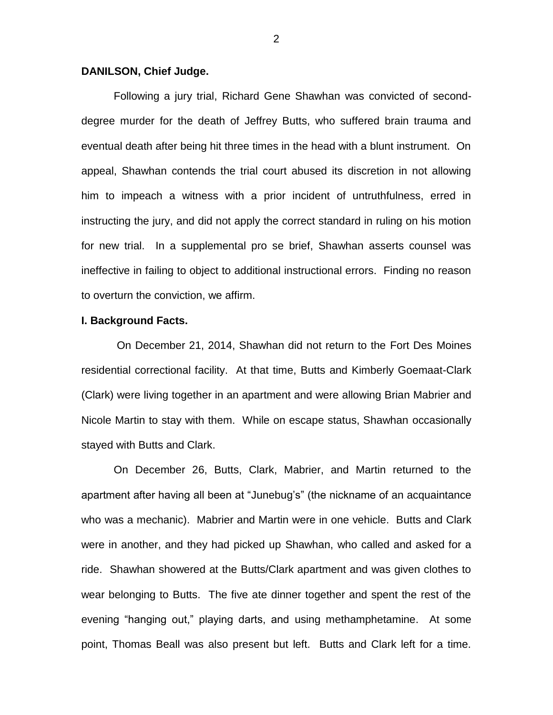# **DANILSON, Chief Judge.**

Following a jury trial, Richard Gene Shawhan was convicted of seconddegree murder for the death of Jeffrey Butts, who suffered brain trauma and eventual death after being hit three times in the head with a blunt instrument. On appeal, Shawhan contends the trial court abused its discretion in not allowing him to impeach a witness with a prior incident of untruthfulness, erred in instructing the jury, and did not apply the correct standard in ruling on his motion for new trial. In a supplemental pro se brief, Shawhan asserts counsel was ineffective in failing to object to additional instructional errors. Finding no reason to overturn the conviction, we affirm.

#### **I. Background Facts.**

On December 21, 2014, Shawhan did not return to the Fort Des Moines residential correctional facility. At that time, Butts and Kimberly Goemaat-Clark (Clark) were living together in an apartment and were allowing Brian Mabrier and Nicole Martin to stay with them. While on escape status, Shawhan occasionally stayed with Butts and Clark.

On December 26, Butts, Clark, Mabrier, and Martin returned to the apartment after having all been at "Junebug's" (the nickname of an acquaintance who was a mechanic). Mabrier and Martin were in one vehicle. Butts and Clark were in another, and they had picked up Shawhan, who called and asked for a ride. Shawhan showered at the Butts/Clark apartment and was given clothes to wear belonging to Butts. The five ate dinner together and spent the rest of the evening "hanging out," playing darts, and using methamphetamine. At some point, Thomas Beall was also present but left. Butts and Clark left for a time.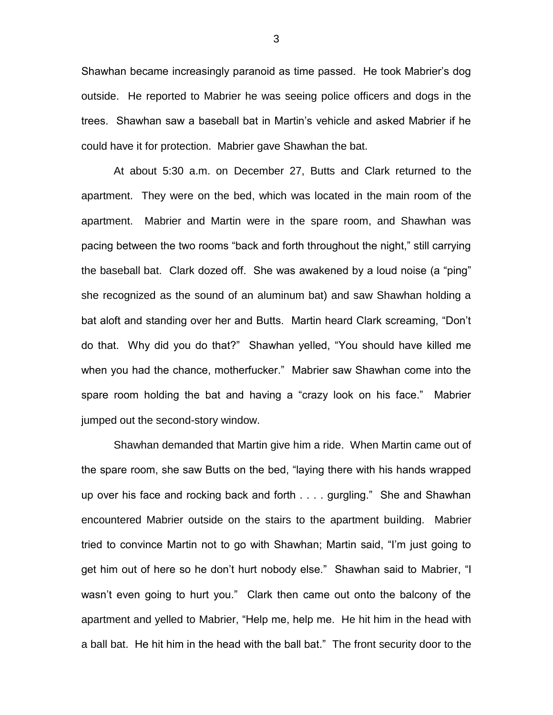Shawhan became increasingly paranoid as time passed. He took Mabrier's dog outside. He reported to Mabrier he was seeing police officers and dogs in the trees. Shawhan saw a baseball bat in Martin's vehicle and asked Mabrier if he could have it for protection. Mabrier gave Shawhan the bat.

At about 5:30 a.m. on December 27, Butts and Clark returned to the apartment. They were on the bed, which was located in the main room of the apartment. Mabrier and Martin were in the spare room, and Shawhan was pacing between the two rooms "back and forth throughout the night," still carrying the baseball bat. Clark dozed off. She was awakened by a loud noise (a "ping" she recognized as the sound of an aluminum bat) and saw Shawhan holding a bat aloft and standing over her and Butts. Martin heard Clark screaming, "Don't do that. Why did you do that?" Shawhan yelled, "You should have killed me when you had the chance, motherfucker." Mabrier saw Shawhan come into the spare room holding the bat and having a "crazy look on his face." Mabrier jumped out the second-story window.

Shawhan demanded that Martin give him a ride. When Martin came out of the spare room, she saw Butts on the bed, "laying there with his hands wrapped up over his face and rocking back and forth . . . . gurgling." She and Shawhan encountered Mabrier outside on the stairs to the apartment building. Mabrier tried to convince Martin not to go with Shawhan; Martin said, "I'm just going to get him out of here so he don't hurt nobody else." Shawhan said to Mabrier, "I wasn't even going to hurt you." Clark then came out onto the balcony of the apartment and yelled to Mabrier, "Help me, help me. He hit him in the head with a ball bat. He hit him in the head with the ball bat." The front security door to the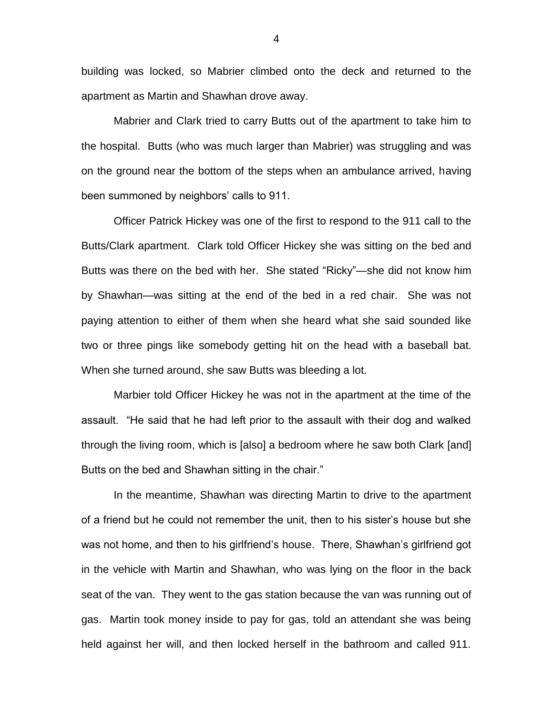building was locked, so Mabrier climbed onto the deck and returned to the apartment as Martin and Shawhan drove away.

Mabrier and Clark tried to carry Butts out of the apartment to take him to the hospital. Butts (who was much larger than Mabrier) was struggling and was on the ground near the bottom of the steps when an ambulance arrived, having been summoned by neighbors' calls to 911.

Officer Patrick Hickey was one of the first to respond to the 911 call to the Butts/Clark apartment. Clark told Officer Hickey she was sitting on the bed and Butts was there on the bed with her. She stated "Ricky"—she did not know him by Shawhan—was sitting at the end of the bed in a red chair. She was not paying attention to either of them when she heard what she said sounded like two or three pings like somebody getting hit on the head with a baseball bat. When she turned around, she saw Butts was bleeding a lot.

Marbier told Officer Hickey he was not in the apartment at the time of the assault. "He said that he had left prior to the assault with their dog and walked through the living room, which is [also] a bedroom where he saw both Clark [and] Butts on the bed and Shawhan sitting in the chair."

In the meantime, Shawhan was directing Martin to drive to the apartment of a friend but he could not remember the unit, then to his sister's house but she was not home, and then to his girlfriend's house. There, Shawhan's girlfriend got in the vehicle with Martin and Shawhan, who was lying on the floor in the back seat of the van. They went to the gas station because the van was running out of gas. Martin took money inside to pay for gas, told an attendant she was being held against her will, and then locked herself in the bathroom and called 911.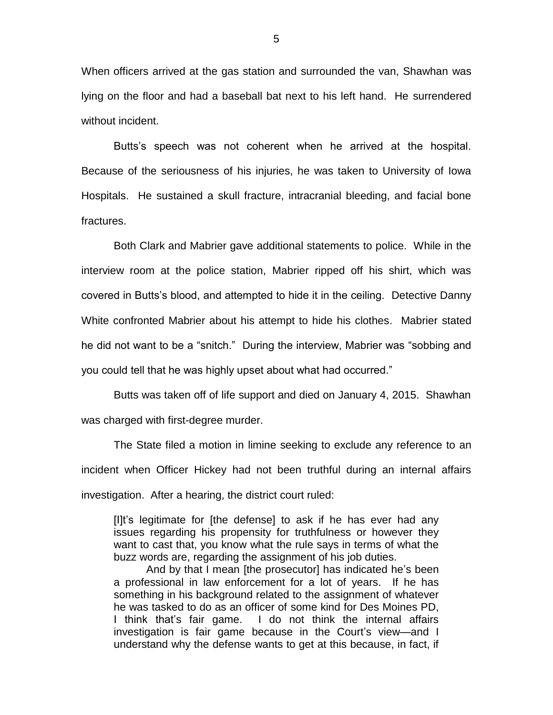When officers arrived at the gas station and surrounded the van, Shawhan was lying on the floor and had a baseball bat next to his left hand. He surrendered without incident.

Butts's speech was not coherent when he arrived at the hospital. Because of the seriousness of his injuries, he was taken to University of Iowa Hospitals. He sustained a skull fracture, intracranial bleeding, and facial bone fractures.

Both Clark and Mabrier gave additional statements to police. While in the interview room at the police station, Mabrier ripped off his shirt, which was covered in Butts's blood, and attempted to hide it in the ceiling. Detective Danny White confronted Mabrier about his attempt to hide his clothes. Mabrier stated he did not want to be a "snitch." During the interview, Mabrier was "sobbing and you could tell that he was highly upset about what had occurred."

Butts was taken off of life support and died on January 4, 2015. Shawhan was charged with first-degree murder.

The State filed a motion in limine seeking to exclude any reference to an incident when Officer Hickey had not been truthful during an internal affairs investigation. After a hearing, the district court ruled:

[I]t's legitimate for [the defense] to ask if he has ever had any issues regarding his propensity for truthfulness or however they want to cast that, you know what the rule says in terms of what the buzz words are, regarding the assignment of his job duties.

And by that I mean [the prosecutor] has indicated he's been a professional in law enforcement for a lot of years. If he has something in his background related to the assignment of whatever he was tasked to do as an officer of some kind for Des Moines PD, I think that's fair game. I do not think the internal affairs investigation is fair game because in the Court's view—and I understand why the defense wants to get at this because, in fact, if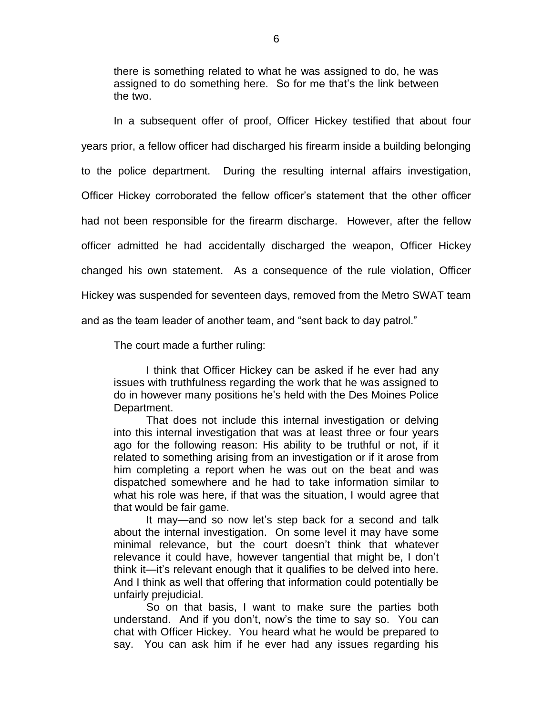there is something related to what he was assigned to do, he was assigned to do something here. So for me that's the link between the two.

In a subsequent offer of proof, Officer Hickey testified that about four years prior, a fellow officer had discharged his firearm inside a building belonging to the police department. During the resulting internal affairs investigation, Officer Hickey corroborated the fellow officer's statement that the other officer had not been responsible for the firearm discharge. However, after the fellow officer admitted he had accidentally discharged the weapon, Officer Hickey changed his own statement. As a consequence of the rule violation, Officer Hickey was suspended for seventeen days, removed from the Metro SWAT team and as the team leader of another team, and "sent back to day patrol."

The court made a further ruling:

I think that Officer Hickey can be asked if he ever had any issues with truthfulness regarding the work that he was assigned to do in however many positions he's held with the Des Moines Police Department.

That does not include this internal investigation or delving into this internal investigation that was at least three or four years ago for the following reason: His ability to be truthful or not, if it related to something arising from an investigation or if it arose from him completing a report when he was out on the beat and was dispatched somewhere and he had to take information similar to what his role was here, if that was the situation, I would agree that that would be fair game.

It may—and so now let's step back for a second and talk about the internal investigation. On some level it may have some minimal relevance, but the court doesn't think that whatever relevance it could have, however tangential that might be, I don't think it—it's relevant enough that it qualifies to be delved into here. And I think as well that offering that information could potentially be unfairly prejudicial.

So on that basis, I want to make sure the parties both understand. And if you don't, now's the time to say so. You can chat with Officer Hickey. You heard what he would be prepared to say. You can ask him if he ever had any issues regarding his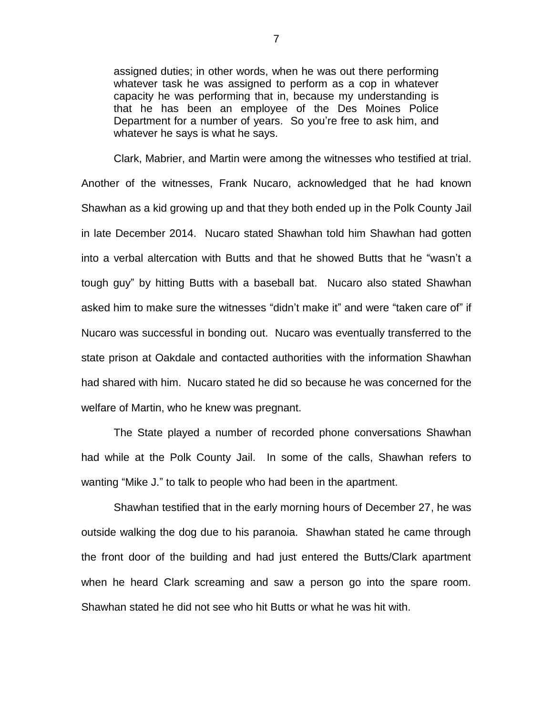assigned duties; in other words, when he was out there performing whatever task he was assigned to perform as a cop in whatever capacity he was performing that in, because my understanding is that he has been an employee of the Des Moines Police Department for a number of years. So you're free to ask him, and whatever he says is what he says.

Clark, Mabrier, and Martin were among the witnesses who testified at trial. Another of the witnesses, Frank Nucaro, acknowledged that he had known Shawhan as a kid growing up and that they both ended up in the Polk County Jail in late December 2014. Nucaro stated Shawhan told him Shawhan had gotten into a verbal altercation with Butts and that he showed Butts that he "wasn't a tough guy" by hitting Butts with a baseball bat. Nucaro also stated Shawhan asked him to make sure the witnesses "didn't make it" and were "taken care of" if Nucaro was successful in bonding out. Nucaro was eventually transferred to the state prison at Oakdale and contacted authorities with the information Shawhan had shared with him. Nucaro stated he did so because he was concerned for the welfare of Martin, who he knew was pregnant.

The State played a number of recorded phone conversations Shawhan had while at the Polk County Jail. In some of the calls, Shawhan refers to wanting "Mike J." to talk to people who had been in the apartment.

Shawhan testified that in the early morning hours of December 27, he was outside walking the dog due to his paranoia. Shawhan stated he came through the front door of the building and had just entered the Butts/Clark apartment when he heard Clark screaming and saw a person go into the spare room. Shawhan stated he did not see who hit Butts or what he was hit with.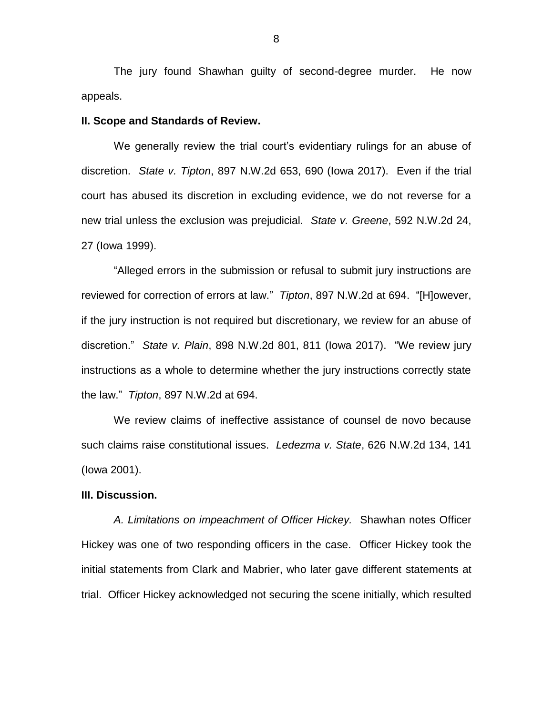The jury found Shawhan guilty of second-degree murder. He now appeals.

# **II. Scope and Standards of Review.**

We generally review the trial court's evidentiary rulings for an abuse of discretion. *State v. Tipton*, 897 N.W.2d 653, 690 (Iowa 2017). Even if the trial court has abused its discretion in excluding evidence, we do not reverse for a new trial unless the exclusion was prejudicial. *State v. Greene*, 592 N.W.2d 24, 27 (Iowa 1999).

"Alleged errors in the submission or refusal to submit jury instructions are reviewed for correction of errors at law." *Tipton*, 897 N.W.2d at 694. "[H]owever, if the jury instruction is not required but discretionary, we review for an abuse of discretion." *State v. Plain*, 898 N.W.2d 801, 811 (Iowa 2017). "We review jury instructions as a whole to determine whether the jury instructions correctly state the law." *Tipton*, 897 N.W.2d at 694.

We review claims of ineffective assistance of counsel de novo because such claims raise constitutional issues. *Ledezma v. State*, 626 N.W.2d 134, 141 (Iowa 2001).

# **III. Discussion.**

*A. Limitations on impeachment of Officer Hickey.* Shawhan notes Officer Hickey was one of two responding officers in the case. Officer Hickey took the initial statements from Clark and Mabrier, who later gave different statements at trial. Officer Hickey acknowledged not securing the scene initially, which resulted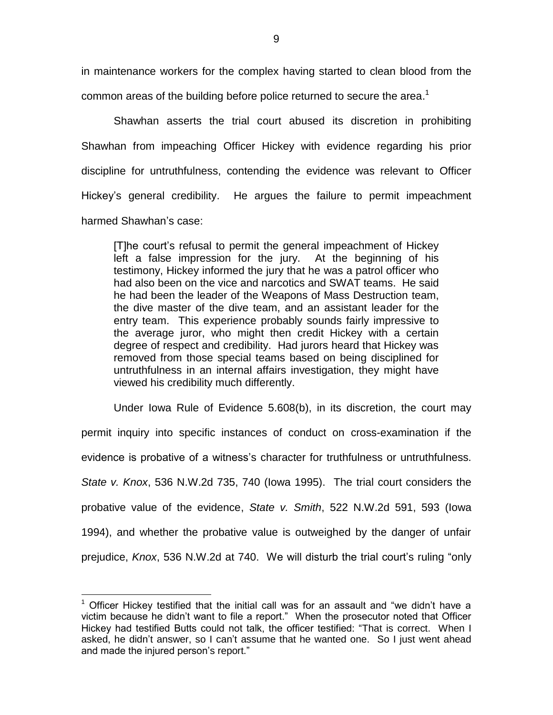in maintenance workers for the complex having started to clean blood from the common areas of the building before police returned to secure the area.<sup>1</sup>

Shawhan asserts the trial court abused its discretion in prohibiting Shawhan from impeaching Officer Hickey with evidence regarding his prior discipline for untruthfulness, contending the evidence was relevant to Officer Hickey's general credibility. He argues the failure to permit impeachment harmed Shawhan's case:

[T]he court's refusal to permit the general impeachment of Hickey left a false impression for the jury. At the beginning of his testimony, Hickey informed the jury that he was a patrol officer who had also been on the vice and narcotics and SWAT teams. He said he had been the leader of the Weapons of Mass Destruction team, the dive master of the dive team, and an assistant leader for the entry team. This experience probably sounds fairly impressive to the average juror, who might then credit Hickey with a certain degree of respect and credibility. Had jurors heard that Hickey was removed from those special teams based on being disciplined for untruthfulness in an internal affairs investigation, they might have viewed his credibility much differently.

Under Iowa Rule of Evidence 5.608(b), in its discretion, the court may permit inquiry into specific instances of conduct on cross-examination if the evidence is probative of a witness's character for truthfulness or untruthfulness. *State v. Knox*, 536 N.W.2d 735, 740 (Iowa 1995). The trial court considers the probative value of the evidence, *State v. Smith*, 522 N.W.2d 591, 593 (Iowa 1994), and whether the probative value is outweighed by the danger of unfair prejudice, *Knox*, 536 N.W.2d at 740. We will disturb the trial court's ruling "only

 $1$  Officer Hickey testified that the initial call was for an assault and "we didn't have a victim because he didn't want to file a report." When the prosecutor noted that Officer Hickey had testified Butts could not talk, the officer testified: "That is correct. When I asked, he didn't answer, so I can't assume that he wanted one. So I just went ahead and made the injured person's report."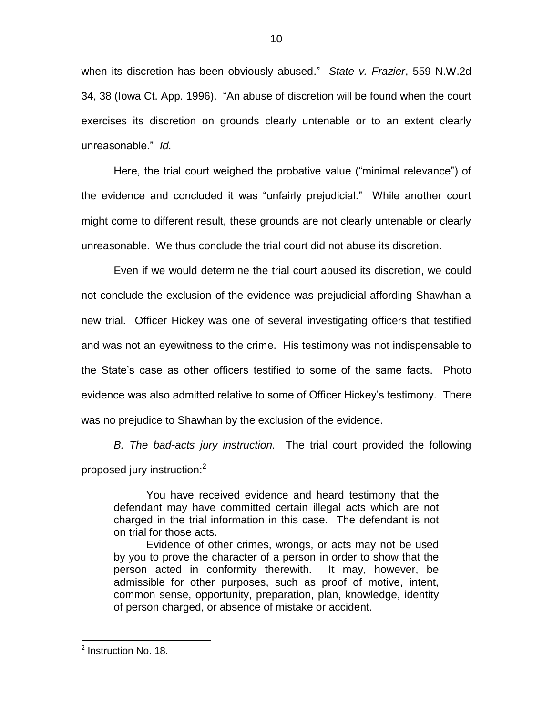when its discretion has been obviously abused." *State v. Frazier*, 559 N.W.2d 34, 38 (Iowa Ct. App. 1996). "An abuse of discretion will be found when the court exercises its discretion on grounds clearly untenable or to an extent clearly unreasonable." *Id.*

Here, the trial court weighed the probative value ("minimal relevance") of the evidence and concluded it was "unfairly prejudicial." While another court might come to different result, these grounds are not clearly untenable or clearly unreasonable. We thus conclude the trial court did not abuse its discretion.

Even if we would determine the trial court abused its discretion, we could not conclude the exclusion of the evidence was prejudicial affording Shawhan a new trial. Officer Hickey was one of several investigating officers that testified and was not an eyewitness to the crime. His testimony was not indispensable to the State's case as other officers testified to some of the same facts. Photo evidence was also admitted relative to some of Officer Hickey's testimony. There was no prejudice to Shawhan by the exclusion of the evidence.

*B. The bad-acts jury instruction.* The trial court provided the following proposed jury instruction:<sup>2</sup>

You have received evidence and heard testimony that the defendant may have committed certain illegal acts which are not charged in the trial information in this case. The defendant is not on trial for those acts.

Evidence of other crimes, wrongs, or acts may not be used by you to prove the character of a person in order to show that the person acted in conformity therewith. It may, however, be admissible for other purposes, such as proof of motive, intent, common sense, opportunity, preparation, plan, knowledge, identity of person charged, or absence of mistake or accident.

<sup>&</sup>lt;sup>2</sup> Instruction No. 18.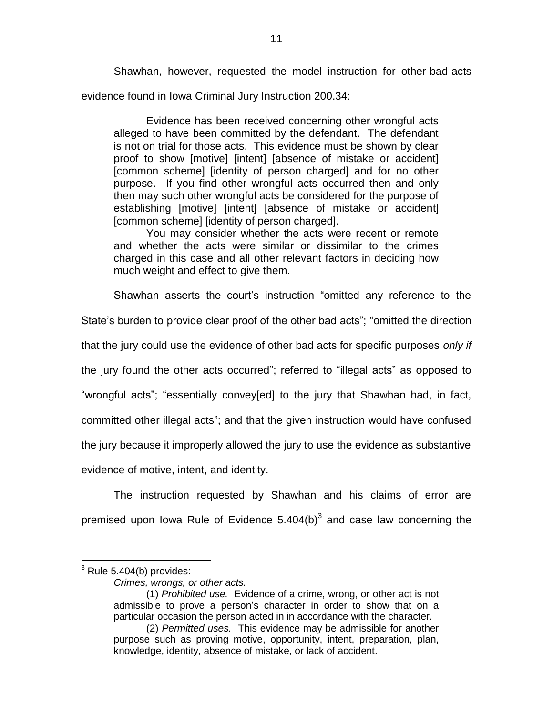Shawhan, however, requested the model instruction for other-bad-acts evidence found in Iowa Criminal Jury Instruction 200.34:

Evidence has been received concerning other wrongful acts alleged to have been committed by the defendant. The defendant is not on trial for those acts. This evidence must be shown by clear proof to show [motive] [intent] [absence of mistake or accident] [common scheme] [identity of person charged] and for no other purpose. If you find other wrongful acts occurred then and only then may such other wrongful acts be considered for the purpose of establishing [motive] [intent] [absence of mistake or accident] [common scheme] [identity of person charged].

You may consider whether the acts were recent or remote and whether the acts were similar or dissimilar to the crimes charged in this case and all other relevant factors in deciding how much weight and effect to give them.

Shawhan asserts the court's instruction "omitted any reference to the

State's burden to provide clear proof of the other bad acts"; "omitted the direction

that the jury could use the evidence of other bad acts for specific purposes *only if* 

the jury found the other acts occurred"; referred to "illegal acts" as opposed to

"wrongful acts"; "essentially convey[ed] to the jury that Shawhan had, in fact,

committed other illegal acts"; and that the given instruction would have confused

the jury because it improperly allowed the jury to use the evidence as substantive

evidence of motive, intent, and identity.

The instruction requested by Shawhan and his claims of error are premised upon lowa Rule of Evidence 5.404(b) $3$  and case law concerning the

 $3$  Rule 5.404(b) provides:

*Crimes, wrongs, or other acts.*

<sup>(1)</sup> *Prohibited use.* Evidence of a crime, wrong, or other act is not admissible to prove a person's character in order to show that on a particular occasion the person acted in in accordance with the character.

<sup>(2)</sup> *Permitted uses.* This evidence may be admissible for another purpose such as proving motive, opportunity, intent, preparation, plan, knowledge, identity, absence of mistake, or lack of accident.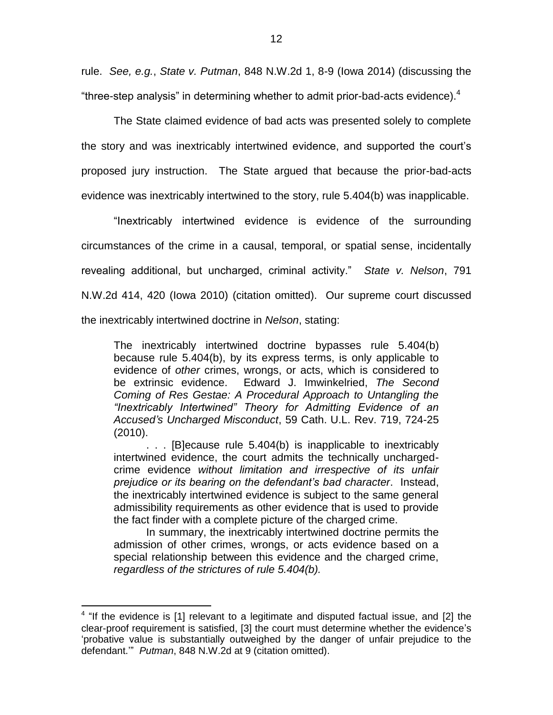rule. *See, e.g.*, *State v. Putman*, 848 N.W.2d 1, 8-9 (Iowa 2014) (discussing the "three-step analysis" in determining whether to admit prior-bad-acts evidence). $4$ 

The State claimed evidence of bad acts was presented solely to complete the story and was inextricably intertwined evidence, and supported the court's proposed jury instruction. The State argued that because the prior-bad-acts evidence was inextricably intertwined to the story, rule 5.404(b) was inapplicable.

"Inextricably intertwined evidence is evidence of the surrounding circumstances of the crime in a causal, temporal, or spatial sense, incidentally revealing additional, but uncharged, criminal activity." *State v. Nelson*, 791 N.W.2d 414, 420 (Iowa 2010) (citation omitted). Our supreme court discussed the inextricably intertwined doctrine in *Nelson*, stating:

The inextricably intertwined doctrine bypasses rule 5.404(b) because rule 5.404(b), by its express terms, is only applicable to evidence of *other* crimes, wrongs, or acts, which is considered to be extrinsic evidence. Edward J. Imwinkelried, *The Second Coming of Res Gestae: A Procedural Approach to Untangling the "Inextricably Intertwined" Theory for Admitting Evidence of an Accused's Uncharged Misconduct*, 59 Cath. U.L. Rev. 719, 724-25 (2010).

. . . [B]ecause rule 5.404(b) is inapplicable to inextricably intertwined evidence, the court admits the technically unchargedcrime evidence *without limitation and irrespective of its unfair prejudice or its bearing on the defendant's bad character*. Instead, the inextricably intertwined evidence is subject to the same general admissibility requirements as other evidence that is used to provide the fact finder with a complete picture of the charged crime.

In summary, the inextricably intertwined doctrine permits the admission of other crimes, wrongs, or acts evidence based on a special relationship between this evidence and the charged crime, *regardless of the strictures of rule 5.404(b).*

 $4$  "If the evidence is [1] relevant to a legitimate and disputed factual issue, and [2] the clear-proof requirement is satisfied, [3] the court must determine whether the evidence's 'probative value is substantially outweighed by the danger of unfair prejudice to the defendant.'" *Putman*, 848 N.W.2d at 9 (citation omitted).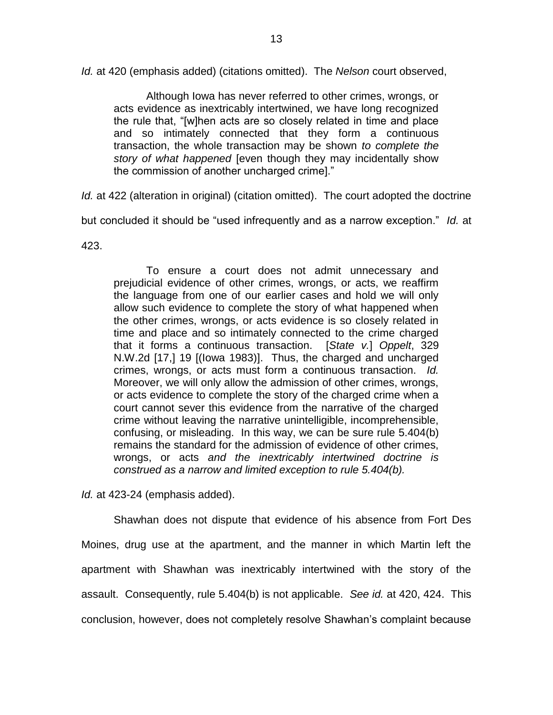*Id.* at 420 (emphasis added) (citations omitted). The *Nelson* court observed,

Although Iowa has never referred to other crimes, wrongs, or acts evidence as inextricably intertwined, we have long recognized the rule that, "[w]hen acts are so closely related in time and place and so intimately connected that they form a continuous transaction, the whole transaction may be shown *to complete the story of what happened* [even though they may incidentally show the commission of another uncharged crime]."

*Id.* at 422 (alteration in original) (citation omitted). The court adopted the doctrine

but concluded it should be "used infrequently and as a narrow exception." *Id.* at

423.

To ensure a court does not admit unnecessary and prejudicial evidence of other crimes, wrongs, or acts, we reaffirm the language from one of our earlier cases and hold we will only allow such evidence to complete the story of what happened when the other crimes, wrongs, or acts evidence is so closely related in time and place and so intimately connected to the crime charged that it forms a continuous transaction. [*State v.*] *Oppelt*, 329 N.W.2d [17,] 19 [(Iowa 1983)]. Thus, the charged and uncharged crimes, wrongs, or acts must form a continuous transaction. *Id.* Moreover, we will only allow the admission of other crimes, wrongs, or acts evidence to complete the story of the charged crime when a court cannot sever this evidence from the narrative of the charged crime without leaving the narrative unintelligible, incomprehensible, confusing, or misleading. In this way, we can be sure rule 5.404(b) remains the standard for the admission of evidence of other crimes, wrongs, or acts *and the inextricably intertwined doctrine is construed as a narrow and limited exception to rule 5.404(b).*

*Id.* at 423-24 (emphasis added).

Shawhan does not dispute that evidence of his absence from Fort Des Moines, drug use at the apartment, and the manner in which Martin left the apartment with Shawhan was inextricably intertwined with the story of the assault. Consequently, rule 5.404(b) is not applicable. *See id.* at 420, 424. This conclusion, however, does not completely resolve Shawhan's complaint because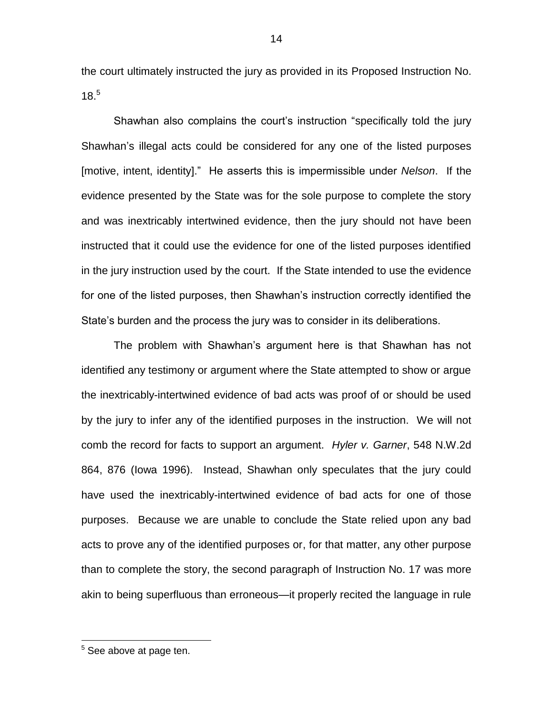the court ultimately instructed the jury as provided in its Proposed Instruction No. 18. 5

Shawhan also complains the court's instruction "specifically told the jury Shawhan's illegal acts could be considered for any one of the listed purposes [motive, intent, identity]." He asserts this is impermissible under *Nelson*. If the evidence presented by the State was for the sole purpose to complete the story and was inextricably intertwined evidence, then the jury should not have been instructed that it could use the evidence for one of the listed purposes identified in the jury instruction used by the court. If the State intended to use the evidence for one of the listed purposes, then Shawhan's instruction correctly identified the State's burden and the process the jury was to consider in its deliberations.

The problem with Shawhan's argument here is that Shawhan has not identified any testimony or argument where the State attempted to show or argue the inextricably-intertwined evidence of bad acts was proof of or should be used by the jury to infer any of the identified purposes in the instruction. We will not comb the record for facts to support an argument. *Hyler v. Garner*, 548 N.W.2d 864, 876 (Iowa 1996). Instead, Shawhan only speculates that the jury could have used the inextricably-intertwined evidence of bad acts for one of those purposes. Because we are unable to conclude the State relied upon any bad acts to prove any of the identified purposes or, for that matter, any other purpose than to complete the story, the second paragraph of Instruction No. 17 was more akin to being superfluous than erroneous—it properly recited the language in rule

 $5$  See above at page ten.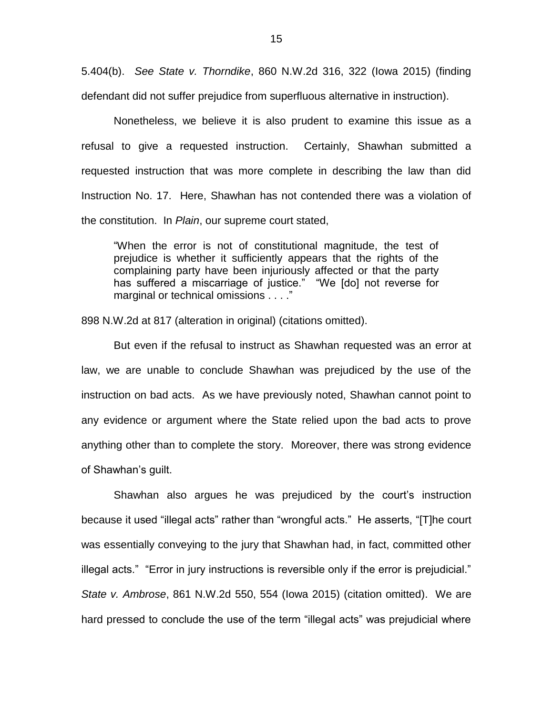5.404(b). *See State v. Thorndike*, 860 N.W.2d 316, 322 (Iowa 2015) (finding defendant did not suffer prejudice from superfluous alternative in instruction).

Nonetheless, we believe it is also prudent to examine this issue as a refusal to give a requested instruction. Certainly, Shawhan submitted a requested instruction that was more complete in describing the law than did Instruction No. 17. Here, Shawhan has not contended there was a violation of the constitution. In *Plain*, our supreme court stated,

"When the error is not of constitutional magnitude, the test of prejudice is whether it sufficiently appears that the rights of the complaining party have been injuriously affected or that the party has suffered a miscarriage of justice." "We [do] not reverse for marginal or technical omissions . . . ."

898 N.W.2d at 817 (alteration in original) (citations omitted).

But even if the refusal to instruct as Shawhan requested was an error at law, we are unable to conclude Shawhan was prejudiced by the use of the instruction on bad acts. As we have previously noted, Shawhan cannot point to any evidence or argument where the State relied upon the bad acts to prove anything other than to complete the story. Moreover, there was strong evidence of Shawhan's guilt.

Shawhan also argues he was prejudiced by the court's instruction because it used "illegal acts" rather than "wrongful acts." He asserts, "[T]he court was essentially conveying to the jury that Shawhan had, in fact, committed other illegal acts." "Error in jury instructions is reversible only if the error is prejudicial." *State v. Ambrose*, 861 N.W.2d 550, 554 (Iowa 2015) (citation omitted). We are hard pressed to conclude the use of the term "illegal acts" was prejudicial where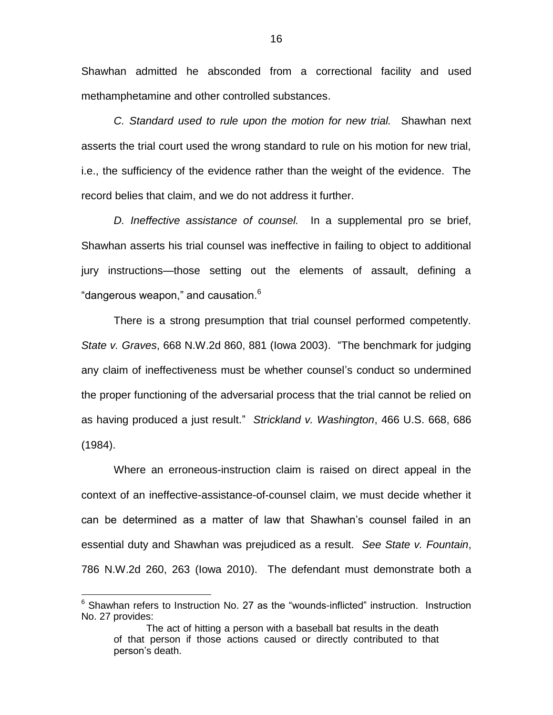Shawhan admitted he absconded from a correctional facility and used methamphetamine and other controlled substances.

*C. Standard used to rule upon the motion for new trial.* Shawhan next asserts the trial court used the wrong standard to rule on his motion for new trial, i.e., the sufficiency of the evidence rather than the weight of the evidence. The record belies that claim, and we do not address it further.

*D. Ineffective assistance of counsel.* In a supplemental pro se brief, Shawhan asserts his trial counsel was ineffective in failing to object to additional jury instructions—those setting out the elements of assault, defining a "dangerous weapon," and causation. $6$ 

There is a strong presumption that trial counsel performed competently. *State v. Graves*, 668 N.W.2d 860, 881 (Iowa 2003). "The benchmark for judging any claim of ineffectiveness must be whether counsel's conduct so undermined the proper functioning of the adversarial process that the trial cannot be relied on as having produced a just result." *Strickland v. Washington*, 466 U.S. 668, 686 (1984).

Where an erroneous-instruction claim is raised on direct appeal in the context of an ineffective-assistance-of-counsel claim, we must decide whether it can be determined as a matter of law that Shawhan's counsel failed in an essential duty and Shawhan was prejudiced as a result. *See State v. Fountain*, 786 N.W.2d 260, 263 (Iowa 2010). The defendant must demonstrate both a

<sup>&</sup>lt;sup>6</sup> Shawhan refers to Instruction No. 27 as the "wounds-inflicted" instruction. Instruction No. 27 provides:

The act of hitting a person with a baseball bat results in the death of that person if those actions caused or directly contributed to that person's death.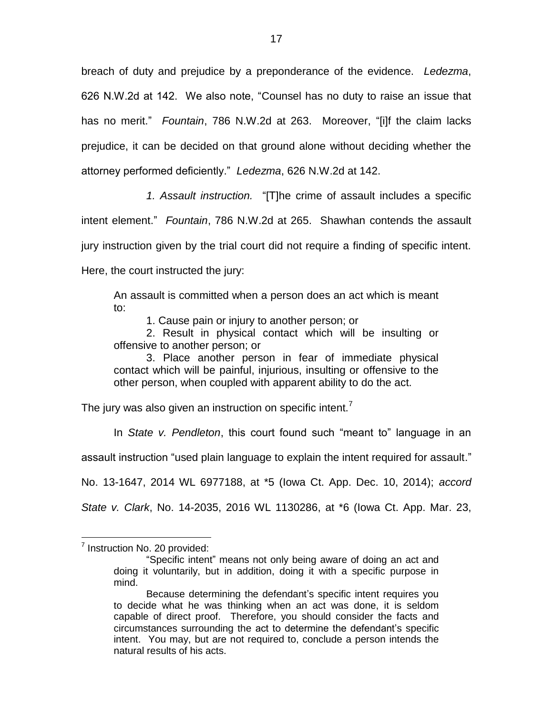breach of duty and prejudice by a preponderance of the evidence. *Ledezma*, 626 N.W.2d at 142. We also note, "Counsel has no duty to raise an issue that has no merit." *Fountain*, 786 N.W.2d at 263. Moreover, "[i]f the claim lacks prejudice, it can be decided on that ground alone without deciding whether the attorney performed deficiently." *Ledezma*, 626 N.W.2d at 142.

*1. Assault instruction.* "[T]he crime of assault includes a specific intent element." *Fountain*, 786 N.W.2d at 265. Shawhan contends the assault jury instruction given by the trial court did not require a finding of specific intent.

Here, the court instructed the jury:

An assault is committed when a person does an act which is meant to:

1. Cause pain or injury to another person; or

2. Result in physical contact which will be insulting or offensive to another person; or

3. Place another person in fear of immediate physical contact which will be painful, injurious, insulting or offensive to the other person, when coupled with apparent ability to do the act.

The jury was also given an instruction on specific intent.<sup>7</sup>

In *State v. Pendleton*, this court found such "meant to" language in an

assault instruction "used plain language to explain the intent required for assault."

No. 13-1647, 2014 WL 6977188, at \*5 (Iowa Ct. App. Dec. 10, 2014); *accord* 

*State v. Clark*, No. 14-2035, 2016 WL 1130286, at \*6 (Iowa Ct. App. Mar. 23,

<sup>&</sup>lt;sup>7</sup> Instruction No. 20 provided:

<sup>&</sup>quot;Specific intent" means not only being aware of doing an act and doing it voluntarily, but in addition, doing it with a specific purpose in mind.

Because determining the defendant's specific intent requires you to decide what he was thinking when an act was done, it is seldom capable of direct proof. Therefore, you should consider the facts and circumstances surrounding the act to determine the defendant's specific intent. You may, but are not required to, conclude a person intends the natural results of his acts.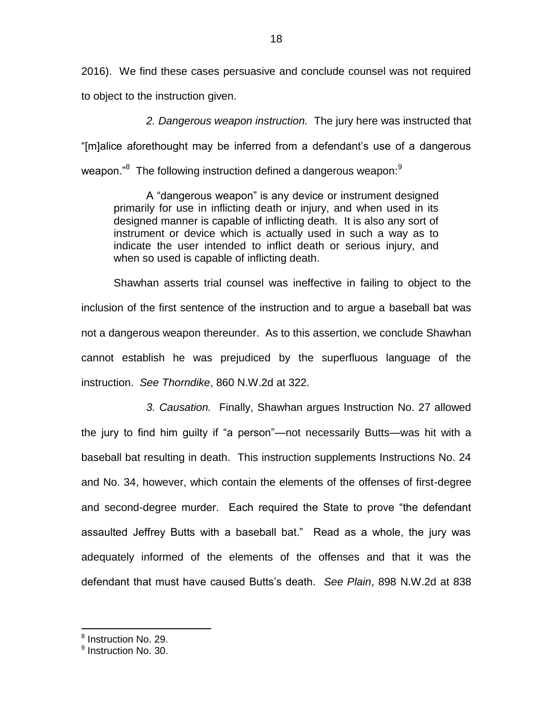2016). We find these cases persuasive and conclude counsel was not required to object to the instruction given.

*2. Dangerous weapon instruction.* The jury here was instructed that "[m]alice aforethought may be inferred from a defendant's use of a dangerous weapon." $^{8}$  The following instruction defined a dangerous weapon: $^{9}$ 

A "dangerous weapon" is any device or instrument designed primarily for use in inflicting death or injury, and when used in its designed manner is capable of inflicting death. It is also any sort of instrument or device which is actually used in such a way as to indicate the user intended to inflict death or serious injury, and when so used is capable of inflicting death.

Shawhan asserts trial counsel was ineffective in failing to object to the inclusion of the first sentence of the instruction and to argue a baseball bat was not a dangerous weapon thereunder. As to this assertion, we conclude Shawhan cannot establish he was prejudiced by the superfluous language of the instruction. *See Thorndike*, 860 N.W.2d at 322.

*3. Causation.* Finally, Shawhan argues Instruction No. 27 allowed the jury to find him guilty if "a person"—not necessarily Butts—was hit with a baseball bat resulting in death. This instruction supplements Instructions No. 24 and No. 34, however, which contain the elements of the offenses of first-degree and second-degree murder. Each required the State to prove "the defendant assaulted Jeffrey Butts with a baseball bat." Read as a whole, the jury was adequately informed of the elements of the offenses and that it was the defendant that must have caused Butts's death. *See Plain*, 898 N.W.2d at 838

<sup>&</sup>lt;sup>8</sup> Instruction No. 29.

<sup>&</sup>lt;sup>9</sup> Instruction No. 30.